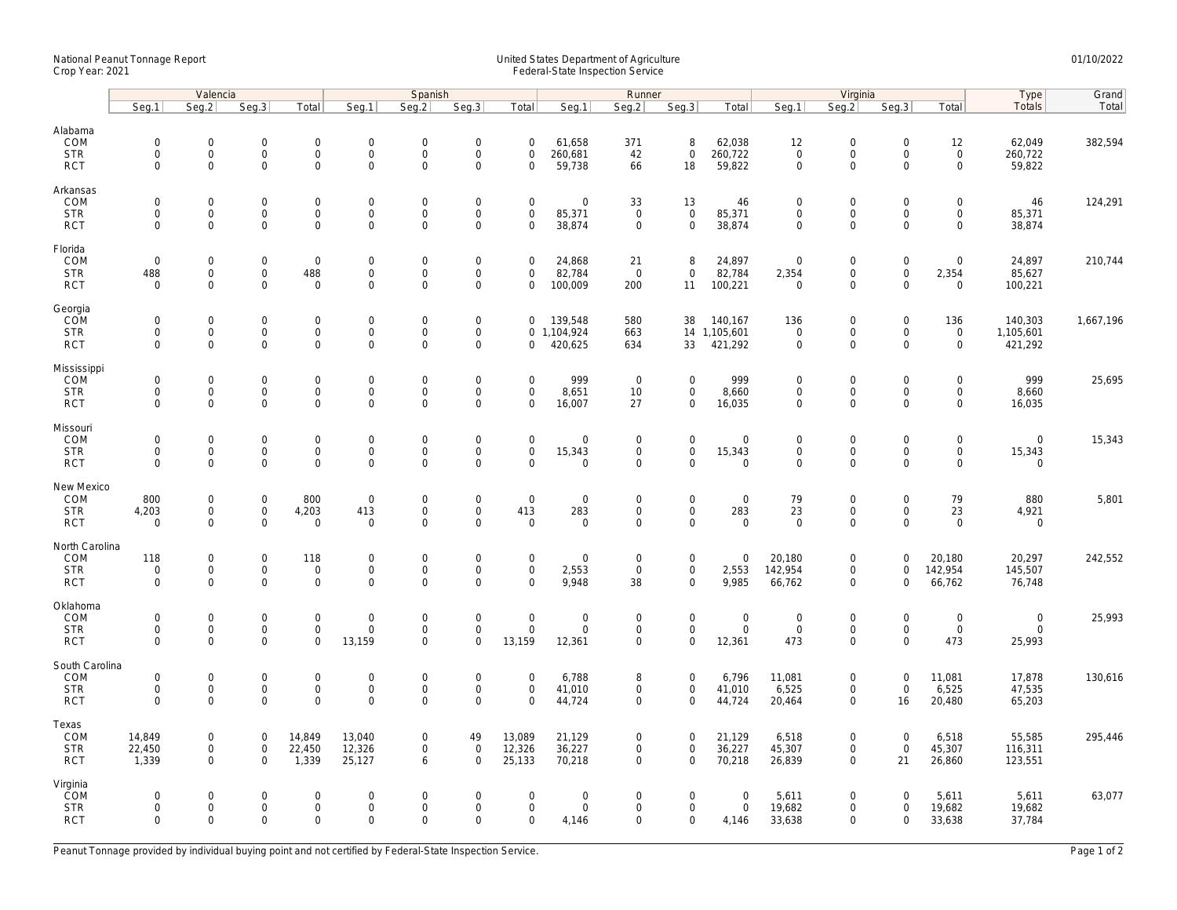## National Peanut Tonnage Report United States Department of Agriculture 01/10/2022 Crop Year: 2021 Federal-State Inspection Service

|                                                   | Valencia                                               |                                         |                                                   |                                                    | Spanish                                              |                                                        |                                                                |                                                | Runner                            |                                           |                                                    |                                                |                                                | Virginia                                                  |                                           |                                                    |                                      | Grand     |
|---------------------------------------------------|--------------------------------------------------------|-----------------------------------------|---------------------------------------------------|----------------------------------------------------|------------------------------------------------------|--------------------------------------------------------|----------------------------------------------------------------|------------------------------------------------|-----------------------------------|-------------------------------------------|----------------------------------------------------|------------------------------------------------|------------------------------------------------|-----------------------------------------------------------|-------------------------------------------|----------------------------------------------------|--------------------------------------|-----------|
|                                                   | Seg.1                                                  | Seg.2                                   | Seg.3                                             | Total                                              | Seg.1                                                | Seq.2                                                  | Seg.3                                                          | Total                                          | Seg.1                             | Seg.2                                     | Seg.3                                              | Total                                          | Seg.1                                          | Seg.2                                                     | Seg.3                                     | Total                                              | Type<br>Totals                       | Total     |
| Alabama<br>COM<br><b>STR</b><br><b>RCT</b>        | $\mathsf{O}\xspace$<br>$\mathbf 0$<br>$\mathbf 0$      | 0<br>$\mathbf 0$<br>0                   | $\mathbf 0$<br>$\mathbf 0$<br>$\mathbf 0$         | $\mathsf{O}\xspace$<br>$\mathbf{0}$<br>$\mathbf 0$ | $\boldsymbol{0}$<br>$\mathbf 0$<br>$\mathbf 0$       | $\mathbf 0$<br>$\mathbf 0$<br>$\Omega$                 | $\boldsymbol{0}$<br>$\mathsf{O}\xspace$<br>$\mathsf{O}\xspace$ | $\mathbf 0$<br>$\mathbf 0$<br>$\mathbf 0$      | 61,658<br>260,681<br>59,738       | 371<br>42<br>66                           | 8<br>$\mathsf{O}\xspace$<br>18                     | 62,038<br>260,722<br>59,822                    | 12<br>$\mathbf 0$<br>$\mathbf 0$               | $\mathsf{O}\xspace$<br>$\mathsf 0$<br>$\Omega$            | $\mathbf 0$<br>$\mathbf 0$<br>$\Omega$    | 12<br>$\mathsf 0$<br>$\mathbf 0$                   | 62,049<br>260,722<br>59,822          | 382,594   |
| Arkansas<br>COM<br><b>STR</b><br><b>RCT</b>       | $\mathsf{O}\xspace$<br>$\mathsf{O}\xspace$<br>$\Omega$ | 0<br>0<br>$\mathbf 0$                   | $\mathbf 0$<br>$\mathbf 0$<br>$\overline{0}$      | $\mathsf 0$<br>$\mathbf 0$<br>$\mathbf{0}$         | $\mathbf 0$<br>$\mathbf 0$<br>$\mathbf 0$            | $\mathsf{O}\xspace$<br>$\mathbf 0$<br>$\Omega$         | $\mathsf{O}\xspace$<br>$\mathsf{O}\xspace$<br>$\mathbf 0$      | $\mathsf{O}\xspace$<br>$\mathbf 0$<br>$\Omega$ | 0<br>85,371<br>38,874             | 33<br>$\mathsf 0$<br>$\mathbf 0$          | 13<br>$\mathsf 0$<br>$\mathbf{0}$                  | 46<br>85,371<br>38,874                         | $\mathbf 0$<br>$\mathsf{O}\xspace$<br>$\Omega$ | $\mathsf{O}\xspace$<br>$\mathsf 0$<br>$\Omega$            | $\mathbf 0$<br>$\mathbf 0$<br>$\Omega$    | $\mathsf{O}\xspace$<br>$\mathbf 0$<br>$\mathbf 0$  | 46<br>85,371<br>38,874               | 124,291   |
| Florida<br>COM<br><b>STR</b><br><b>RCT</b>        | $\mathbf 0$<br>488<br>$\mathbf 0$                      | $\mathbf 0$<br>0<br>$\mathbf 0$         | $\mathsf 0$<br>$\mathsf{O}\xspace$<br>$\mathbf 0$ | $\mathbf 0$<br>488<br>$\mathsf 0$                  | $\boldsymbol{0}$<br>$\boldsymbol{0}$<br>$\mathbf{0}$ | $\mathbf 0$<br>$\mathbf 0$<br>$\Omega$                 | $\mathsf{O}\xspace$<br>$\mathsf{O}\xspace$<br>$\mathbf 0$      | $\mathbf 0$<br>$\mathbf 0$<br>$\mathbf 0$      | 24,868<br>82,784<br>100,009       | 21<br>$\overline{0}$<br>200               | 8<br>$\mathbf 0$<br>11                             | 24,897<br>82,784<br>100,221                    | $\mathbf 0$<br>2,354<br>$\overline{0}$         | $\mathsf{O}\xspace$<br>$\mathsf{O}\xspace$<br>$\mathbf 0$ | $\mathbf 0$<br>$\mathbf 0$<br>$\Omega$    | $\mathbf 0$<br>2,354<br>$\mathbf 0$                | 24,897<br>85,627<br>100,221          | 210,744   |
| Georgia<br>COM<br><b>STR</b><br><b>RCT</b>        | $\mathsf{O}\xspace$<br>0<br>$\mathbf 0$                | 0<br>0<br>$\mathbf 0$                   | $\mathbf 0$<br>$\mathsf{O}$<br>$\mathbf 0$        | $\mathsf 0$<br>$\mathsf{O}\xspace$<br>$\mathbf 0$  | $\mathbf 0$<br>$\boldsymbol{0}$<br>$\mathbf 0$       | $\mathbf 0$<br>$\mathbf 0$<br>$\mathbf 0$              | $\mathsf{O}\xspace$<br>$\mathsf{O}\xspace$<br>$\mathbf 0$      | $\mathbf 0$<br>$\mathbf 0$                     | 139,548<br>0 1,104,924<br>420,625 | 580<br>663<br>634                         | 38<br>33                                           | 140,167<br>14 1,105,601<br>421,292             | 136<br>$\mathbf 0$<br>$\mathsf{O}\xspace$      | $\mathsf{O}\xspace$<br>$\mathsf{O}\xspace$<br>$\mathbf 0$ | $\mathbf 0$<br>$\mathbf 0$<br>$\mathbf 0$ | 136<br>$\mathbf 0$<br>$\mathbf 0$                  | 140,303<br>1,105,601<br>421,292      | 1,667,196 |
| Mississippi<br>COM<br><b>STR</b><br><b>RCT</b>    | $\mathsf{O}\xspace$<br>$\mathbf 0$<br>$\mathbf 0$      | $\mathbf 0$<br>$\mathbf 0$<br>0         | $\mathbf 0$<br>$\mathbf 0$<br>$\mathsf{O}\xspace$ | $\mathbf 0$<br>$\mathbf{0}$<br>$\mathbf 0$         | $\mathbf 0$<br>$\mathbf 0$<br>$\mathbf 0$            | $\mathbf 0$<br>$\mathbf 0$<br>$\mathbf 0$              | $\mathbf 0$<br>$\mathsf{O}\xspace$<br>0                        | $\mathbf 0$<br>$\mathbf 0$<br>$\mathbf 0$      | 999<br>8,651<br>16,007            | $\mathbf 0$<br>10<br>27                   | $\mathbf 0$<br>$\mathsf{O}$<br>$\mathbf 0$         | 999<br>8,660<br>16,035                         | $\mathbf 0$<br>$\mathbf{0}$<br>$\mathbf 0$     | $\mathsf{O}\xspace$<br>$\mathbf 0$<br>$\mathbf 0$         | $\mathbf 0$<br>$\mathbf 0$<br>$\mathbf 0$ | $\mathbf 0$<br>$\mathbf{0}$<br>$\mathsf{O}\xspace$ | 999<br>8,660<br>16,035               | 25,695    |
| Missouri<br>COM<br><b>STR</b><br><b>RCT</b>       | $\mathsf{O}\xspace$<br>$\mathsf{O}\xspace$<br>$\Omega$ | 0<br>0<br>$\mathbf 0$                   | $\mathbf 0$<br>$\mathbf 0$<br>$\mathbf 0$         | $\mathsf 0$<br>$\mathsf 0$<br>$\mathbf 0$          | $\mathbf 0$<br>$\mathbf 0$<br>$\mathbf 0$            | $\mathsf{O}\xspace$<br>$\mathbf 0$<br>$\mathbf 0$      | $\mathbf 0$<br>$\mathsf{O}\xspace$<br>$\Omega$                 | $\mathsf{O}\xspace$<br>$\mathbf 0$<br>$\Omega$ | 0<br>15,343<br>$\mathbf 0$        | $\mathsf 0$<br>$\mathbf 0$<br>$\mathbf 0$ | $\mathsf{O}\xspace$<br>$\mathbf 0$<br>$\mathbf 0$  | $\mathbf 0$<br>15,343<br>$\overline{0}$        | $\mathbf 0$<br>$\mathbf 0$<br>$\mathbf 0$      | $\mathsf{O}\xspace$<br>$\mathsf{O}\xspace$<br>$\mathbf 0$ | $\mathbf 0$<br>$\mathbf 0$<br>$\Omega$    | $\mathsf{O}\xspace$<br>$\mathbf 0$<br>$\mathbf 0$  | $\mathbf 0$<br>15,343<br>$\mathbf 0$ | 15,343    |
| New Mexico<br>COM<br><b>STR</b><br><b>RCT</b>     | 800<br>4,203<br>$\mathbf 0$                            | 0<br>0<br>$\mathbf 0$                   | $\mathbf 0$<br>$\mathsf{O}$<br>$\mathbf 0$        | 800<br>4,203<br>$\mathsf{O}$                       | $\mathbf 0$<br>413<br>$\mathbf{0}$                   | $\mathbf 0$<br>$\mathbf 0$<br>$\mathbf 0$              | $\mathsf{O}\xspace$<br>$\mathsf{O}\xspace$<br>$\overline{0}$   | $\mathbf 0$<br>413<br>$\mathbf 0$              | 0<br>283<br>$\mathbf 0$           | $\mathbf 0$<br>$\mathsf 0$<br>$\mathbf 0$ | $\mathbf 0$<br>$\mathsf{O}\xspace$<br>$\mathbf 0$  | $\boldsymbol{0}$<br>283<br>$\mathbf 0$         | 79<br>23<br>$\mathbf 0$                        | $\mathbf 0$<br>$\mathsf 0$<br>$\mathbf 0$                 | $\mathbf 0$<br>$\mathbf 0$<br>$\Omega$    | 79<br>23<br>$\mathbf 0$                            | 880<br>4,921<br>$\mathbf 0$          | 5,801     |
| North Carolina<br>COM<br><b>STR</b><br><b>RCT</b> | 118<br>$\mathsf{O}\xspace$<br>$\mathbf 0$              | 0<br>$\mathsf{O}\xspace$<br>$\mathbf 0$ | $\mathbf 0$<br>$\mathsf 0$<br>$\mathbf 0$         | 118<br>$\mathsf 0$<br>$\mathbf 0$                  | $\mathbf 0$<br>$\mathbf 0$<br>$\mathbf 0$            | 0<br>$\mathbf 0$<br>$\Omega$                           | $\mathbf 0$<br>$\mathsf{O}\xspace$<br>$\mathbf 0$              | $\mathbf 0$<br>$\mathbf 0$<br>$\mathbf 0$      | 0<br>2,553<br>9,948               | $\mathbf 0$<br>$\mathbf 0$<br>38          | $\mathbf 0$<br>$\mathsf{O}\xspace$<br>$\mathbf{0}$ | $\overline{0}$<br>2,553<br>9,985               | 20,180<br>142,954<br>66,762                    | $\mathbf 0$<br>$\mathsf{O}\xspace$<br>$\mathbf 0$         | $\Omega$<br>$\mathbf 0$<br>$\Omega$       | 20,180<br>142,954<br>66,762                        | 20,297<br>145,507<br>76,748          | 242,552   |
| Oklahoma<br>COM<br><b>STR</b><br><b>RCT</b>       | $\mathbf 0$<br>0<br>$\mathbf 0$                        | 0<br>0<br>$\mathbf 0$                   | $\mathbf 0$<br>$\mathsf 0$<br>$\mathbf 0$         | $\mathsf 0$<br>$\mathsf{O}\xspace$<br>$\mathbf 0$  | $\mathbf 0$<br>$\boldsymbol{0}$<br>13,159            | $\mathbf 0$<br>$\mathbf 0$<br>$\mathbf 0$              | $\mathsf{O}\xspace$<br>$\mathsf{O}\xspace$<br>$\mathbf 0$      | $\mathsf{O}\xspace$<br>$\mathbf 0$<br>13,159   | 0<br>$\mathbf 0$<br>12,361        | $\mathbf 0$<br>$\mathbf 0$<br>$\mathbf 0$ | $\mathbf 0$<br>$\mathsf{O}\xspace$<br>$\mathbf 0$  | $\mathbf 0$<br>$\mathsf{O}\xspace$<br>12,361   | $\mathbf 0$<br>$\mathbf 0$<br>473              | $\mathsf{O}\xspace$<br>$\mathsf{O}\xspace$<br>$\mathbf 0$ | $\mathbf 0$<br>$\mathbf 0$<br>$\Omega$    | $\mathsf{O}\xspace$<br>$\mathsf{O}\xspace$<br>473  | $\mathbf 0$<br>$\mathbf 0$<br>25,993 | 25,993    |
| South Carolina<br>COM<br><b>STR</b><br><b>RCT</b> | $\mathsf{O}\xspace$<br>$\mathsf{O}\xspace$<br>$\Omega$ | 0<br>0<br>$\Omega$                      | $\mathbf 0$<br>$\mathbf 0$<br>$\mathbf 0$         | $\mathsf 0$<br>$\mathsf{O}\xspace$<br>$\mathbf 0$  | $\mathbf 0$<br>$\mathbf 0$<br>$\Omega$               | $\mathsf{O}\xspace$<br>$\mathsf{O}\xspace$<br>$\Omega$ | $\mathsf 0$<br>$\mathsf 0$<br>$\Omega$                         | $\mathbf 0$<br>$\mathbf 0$<br>$\Omega$         | 6,788<br>41,010<br>44,724         | 8<br>$\mathbf 0$<br>$\mathbf 0$           | $\mathsf 0$<br>$\mathbf 0$<br>$\mathbf 0$          | 6,796<br>41,010<br>44,724                      | 11,081<br>6,525<br>20,464                      | $\mathsf{O}\xspace$<br>$\mathsf{O}\xspace$<br>$\mathbf 0$ | $\mathbf 0$<br>$\mathbf 0$<br>16          | 11,081<br>6,525<br>20,480                          | 17,878<br>47,535<br>65,203           | 130,616   |
| Texas<br>COM<br><b>STR</b><br><b>RCT</b>          | 14,849<br>22,450<br>1,339                              | 0<br>0<br>$\mathbf 0$                   | $\mathbf 0$<br>$\mathsf{O}$<br>$\mathbf 0$        | 14,849<br>22,450<br>1,339                          | 13,040<br>12,326<br>25,127                           | $\mathbf 0$<br>$\mathbf 0$<br>6                        | 49<br>$\mathsf{O}\xspace$<br>$\Omega$                          | 13,089<br>12,326<br>25,133                     | 21,129<br>36,227<br>70,218        | $\mathbf 0$<br>$\mathbf 0$<br>$\mathbf 0$ | $\mathbf 0$<br>$\mathsf{O}\xspace$<br>$\mathbf{0}$ | 21,129<br>36,227<br>70,218                     | 6,518<br>45,307<br>26,839                      | $\mathbf 0$<br>$\mathsf{O}\xspace$<br>$\mathbf 0$         | $\mathbf 0$<br>$\mathbf 0$<br>21          | 6,518<br>45,307<br>26,860                          | 55,585<br>116,311<br>123,551         | 295,446   |
| Virginia<br>COM<br><b>STR</b><br><b>RCT</b>       | 0<br>$\mathbf 0$<br>$\mathbf 0$                        | $\mathbf 0$<br>0<br>$\mathbf 0$         | $\mathbf 0$<br>$\mathsf 0$<br>$\mathbf 0$         | $\mathbf{0}$<br>$\mathsf{O}\xspace$<br>$\mathbf 0$ | $\mathbf 0$<br>$\boldsymbol{0}$<br>$\mathbf 0$       | $\Omega$<br>$\mathsf{O}\xspace$<br>$\mathbf 0$         | $\mathbf 0$<br>$\mathsf 0$<br>$\Omega$                         | $\mathbf 0$<br>$\mathbf 0$<br>$\mathbf 0$      | $\mathbf 0$<br>0<br>4,146         | $\mathbf 0$<br>$\mathbf 0$<br>$\mathbf 0$ | $\mathbf 0$<br>$\mathbf 0$<br>$\mathbf 0$          | $\overline{0}$<br>$\mathsf{O}\xspace$<br>4,146 | 5,611<br>19,682<br>33,638                      | $\mathbf 0$<br>$\mathsf{O}\xspace$<br>$\mathbf 0$         | $\Omega$<br>$\mathbf 0$<br>$\mathbf 0$    | 5,611<br>19,682<br>33,638                          | 5,611<br>19,682<br>37,784            | 63,077    |

Peanut Tonnage provided by individual buying point and not certified by Federal-State Inspection Service. Page 1 of 2